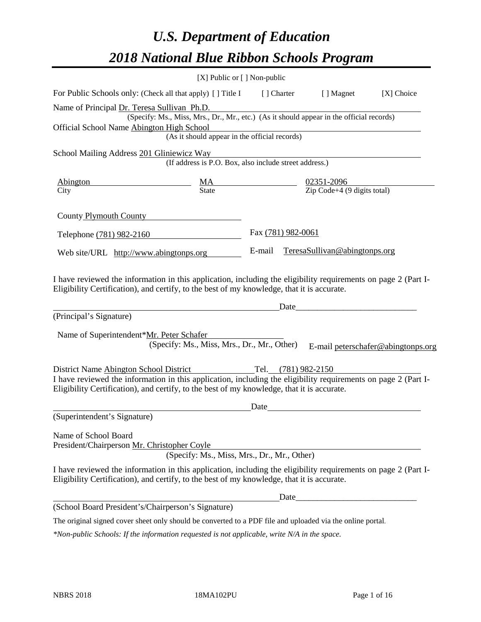# *U.S. Department of Education 2018 National Blue Ribbon Schools Program*

|                                                                                                                                                                                                              | [X] Public or [] Non-public                                                                                                               |                    |                     |                                          |                                    |
|--------------------------------------------------------------------------------------------------------------------------------------------------------------------------------------------------------------|-------------------------------------------------------------------------------------------------------------------------------------------|--------------------|---------------------|------------------------------------------|------------------------------------|
| For Public Schools only: (Check all that apply) [ ] Title I                                                                                                                                                  |                                                                                                                                           | [] Charter         |                     | [ ] Magnet                               | [X] Choice                         |
| Name of Principal Dr. Teresa Sullivan Ph.D.<br>Official School Name Abington High School                                                                                                                     | (Specify: Ms., Miss, Mrs., Dr., Mr., etc.) (As it should appear in the official records)<br>(As it should appear in the official records) |                    |                     |                                          |                                    |
|                                                                                                                                                                                                              |                                                                                                                                           |                    |                     |                                          |                                    |
| School Mailing Address 201 Gliniewicz Way                                                                                                                                                                    | (If address is P.O. Box, also include street address.)                                                                                    |                    |                     |                                          |                                    |
| <b>Abington</b>                                                                                                                                                                                              | $\frac{MA}{State}$                                                                                                                        | 02351-2096         |                     |                                          |                                    |
| City                                                                                                                                                                                                         |                                                                                                                                           |                    |                     | $\overline{Zip Code+4}$ (9 digits total) |                                    |
| County Plymouth County                                                                                                                                                                                       |                                                                                                                                           |                    |                     |                                          |                                    |
| Telephone (781) 982-2160                                                                                                                                                                                     |                                                                                                                                           | Fax (781) 982-0061 |                     |                                          |                                    |
| Web site/URL http://www.abingtonps.org                                                                                                                                                                       |                                                                                                                                           | E-mail             |                     | TeresaSullivan@abingtonps.org            |                                    |
| (Principal's Signature)<br>Name of Superintendent*Mr. Peter Schafer                                                                                                                                          | (Specify: Ms., Miss, Mrs., Dr., Mr., Other)                                                                                               |                    | Date                |                                          | E-mail peterschafer@abingtonps.org |
| District Name Abington School District                                                                                                                                                                       |                                                                                                                                           |                    | Tel. (781) 982-2150 |                                          |                                    |
| I have reviewed the information in this application, including the eligibility requirements on page 2 (Part I-<br>Eligibility Certification), and certify, to the best of my knowledge, that it is accurate. |                                                                                                                                           |                    |                     |                                          |                                    |
|                                                                                                                                                                                                              |                                                                                                                                           | Date               |                     |                                          |                                    |
| (Superintendent's Signature)                                                                                                                                                                                 |                                                                                                                                           |                    |                     |                                          |                                    |
| Name of School Board<br>President/Chairperson Mr. Christopher Coyle                                                                                                                                          | (Specify: Ms., Miss, Mrs., Dr., Mr., Other)                                                                                               |                    |                     |                                          |                                    |
| I have reviewed the information in this application, including the eligibility requirements on page 2 (Part I-<br>Eligibility Certification), and certify, to the best of my knowledge, that it is accurate. |                                                                                                                                           |                    |                     |                                          |                                    |
|                                                                                                                                                                                                              |                                                                                                                                           |                    | Date                |                                          |                                    |
| (School Board President's/Chairperson's Signature)                                                                                                                                                           |                                                                                                                                           |                    |                     |                                          |                                    |
| The original signed cover sheet only should be converted to a PDF file and uploaded via the online portal.                                                                                                   |                                                                                                                                           |                    |                     |                                          |                                    |

*\*Non-public Schools: If the information requested is not applicable, write N/A in the space.*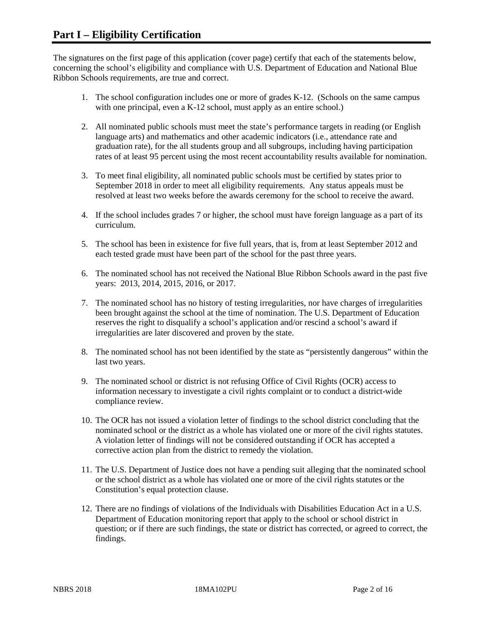The signatures on the first page of this application (cover page) certify that each of the statements below, concerning the school's eligibility and compliance with U.S. Department of Education and National Blue Ribbon Schools requirements, are true and correct.

- 1. The school configuration includes one or more of grades K-12. (Schools on the same campus with one principal, even a K-12 school, must apply as an entire school.)
- 2. All nominated public schools must meet the state's performance targets in reading (or English language arts) and mathematics and other academic indicators (i.e., attendance rate and graduation rate), for the all students group and all subgroups, including having participation rates of at least 95 percent using the most recent accountability results available for nomination.
- 3. To meet final eligibility, all nominated public schools must be certified by states prior to September 2018 in order to meet all eligibility requirements. Any status appeals must be resolved at least two weeks before the awards ceremony for the school to receive the award.
- 4. If the school includes grades 7 or higher, the school must have foreign language as a part of its curriculum.
- 5. The school has been in existence for five full years, that is, from at least September 2012 and each tested grade must have been part of the school for the past three years.
- 6. The nominated school has not received the National Blue Ribbon Schools award in the past five years: 2013, 2014, 2015, 2016, or 2017.
- 7. The nominated school has no history of testing irregularities, nor have charges of irregularities been brought against the school at the time of nomination. The U.S. Department of Education reserves the right to disqualify a school's application and/or rescind a school's award if irregularities are later discovered and proven by the state.
- 8. The nominated school has not been identified by the state as "persistently dangerous" within the last two years.
- 9. The nominated school or district is not refusing Office of Civil Rights (OCR) access to information necessary to investigate a civil rights complaint or to conduct a district-wide compliance review.
- 10. The OCR has not issued a violation letter of findings to the school district concluding that the nominated school or the district as a whole has violated one or more of the civil rights statutes. A violation letter of findings will not be considered outstanding if OCR has accepted a corrective action plan from the district to remedy the violation.
- 11. The U.S. Department of Justice does not have a pending suit alleging that the nominated school or the school district as a whole has violated one or more of the civil rights statutes or the Constitution's equal protection clause.
- 12. There are no findings of violations of the Individuals with Disabilities Education Act in a U.S. Department of Education monitoring report that apply to the school or school district in question; or if there are such findings, the state or district has corrected, or agreed to correct, the findings.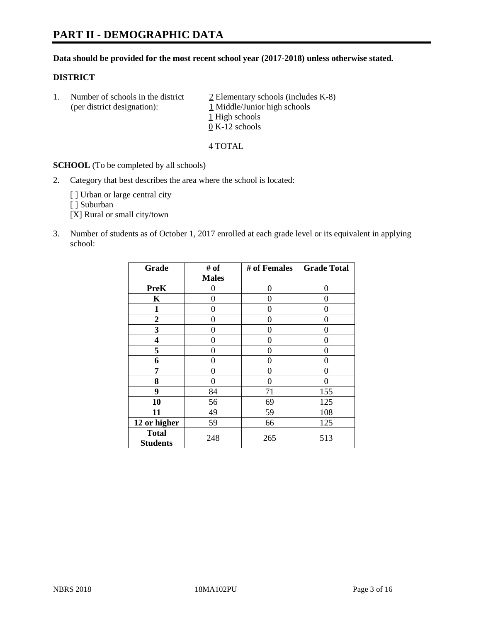#### **Data should be provided for the most recent school year (2017-2018) unless otherwise stated.**

#### **DISTRICT**

1. Number of schools in the district  $\frac{2}{2}$  Elementary schools (includes K-8) (per district designation): 1 Middle/Junior high schools 1 High schools 0 K-12 schools

4 TOTAL

**SCHOOL** (To be completed by all schools)

2. Category that best describes the area where the school is located:

[] Urban or large central city

[ ] Suburban

[X] Rural or small city/town

3. Number of students as of October 1, 2017 enrolled at each grade level or its equivalent in applying school:

| Grade                           | # of         | # of Females | <b>Grade Total</b> |
|---------------------------------|--------------|--------------|--------------------|
|                                 | <b>Males</b> |              |                    |
| <b>PreK</b>                     | 0            | 0            | 0                  |
| K                               | 0            | 0            | 0                  |
| $\mathbf{1}$                    | 0            | 0            | 0                  |
| 2                               | 0            | 0            | 0                  |
| 3                               | 0            | 0            | 0                  |
| 4                               | 0            | 0            | 0                  |
| 5                               | 0            | 0            | 0                  |
| 6                               | 0            | 0            | 0                  |
| 7                               | 0            | 0            | 0                  |
| 8                               | 0            | 0            | 0                  |
| 9                               | 84           | 71           | 155                |
| 10                              | 56           | 69           | 125                |
| 11                              | 49           | 59           | 108                |
| 12 or higher                    | 59           | 66           | 125                |
| <b>Total</b><br><b>Students</b> | 248          | 265          | 513                |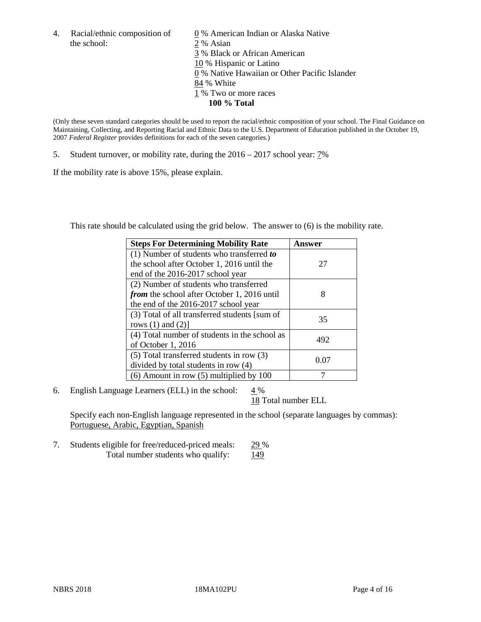the school: 2 % Asian

4. Racial/ethnic composition of  $\qquad 0\%$  American Indian or Alaska Native 3 % Black or African American 10 % Hispanic or Latino 0 % Native Hawaiian or Other Pacific Islander 84 % White 1 % Two or more races **100 % Total**

(Only these seven standard categories should be used to report the racial/ethnic composition of your school. The Final Guidance on Maintaining, Collecting, and Reporting Racial and Ethnic Data to the U.S. Department of Education published in the October 19, 2007 *Federal Register* provides definitions for each of the seven categories.)

5. Student turnover, or mobility rate, during the 2016 – 2017 school year: 7%

If the mobility rate is above 15%, please explain.

This rate should be calculated using the grid below. The answer to (6) is the mobility rate.

| <b>Steps For Determining Mobility Rate</b>         | Answer |
|----------------------------------------------------|--------|
| $(1)$ Number of students who transferred to        |        |
| the school after October 1, 2016 until the         | 27     |
| end of the 2016-2017 school year                   |        |
| (2) Number of students who transferred             |        |
| <i>from</i> the school after October 1, 2016 until | 8      |
| the end of the 2016-2017 school year               |        |
| (3) Total of all transferred students [sum of      | 35     |
| rows $(1)$ and $(2)$ ]                             |        |
| (4) Total number of students in the school as      |        |
| of October 1, 2016                                 | 492    |
| (5) Total transferred students in row (3)          |        |
| divided by total students in row (4)               | 0.07   |
| $(6)$ Amount in row $(5)$ multiplied by 100        |        |

6. English Language Learners (ELL) in the school:  $4\%$ 

18 Total number ELL

Specify each non-English language represented in the school (separate languages by commas): Portuguese, Arabic, Egyptian, Spanish

7. Students eligible for free/reduced-priced meals: 29 % Total number students who qualify:  $\frac{149}{2}$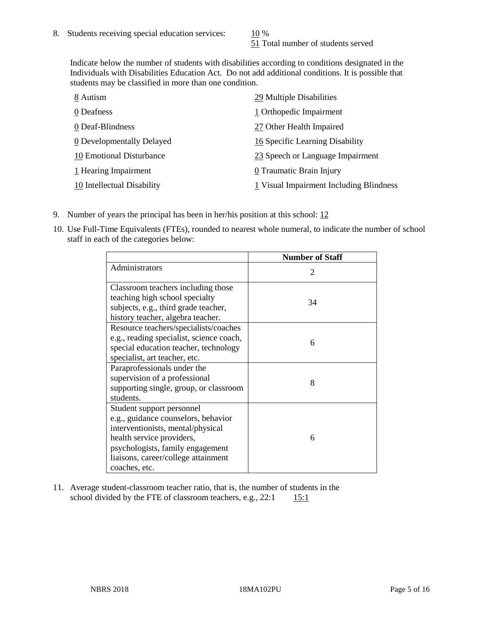51 Total number of students served

Indicate below the number of students with disabilities according to conditions designated in the Individuals with Disabilities Education Act. Do not add additional conditions. It is possible that students may be classified in more than one condition.

| 8 Autism                   | 29 Multiple Disabilities                |
|----------------------------|-----------------------------------------|
| 0 Deafness                 | 1 Orthopedic Impairment                 |
| 0 Deaf-Blindness           | 27 Other Health Impaired                |
| 0 Developmentally Delayed  | 16 Specific Learning Disability         |
| 10 Emotional Disturbance   | 23 Speech or Language Impairment        |
| 1 Hearing Impairment       | 0 Traumatic Brain Injury                |
| 10 Intellectual Disability | 1 Visual Impairment Including Blindness |

- 9. Number of years the principal has been in her/his position at this school: 12
- 10. Use Full-Time Equivalents (FTEs), rounded to nearest whole numeral, to indicate the number of school staff in each of the categories below:

|                                                                                                                                                                                                                                | <b>Number of Staff</b>      |
|--------------------------------------------------------------------------------------------------------------------------------------------------------------------------------------------------------------------------------|-----------------------------|
| Administrators                                                                                                                                                                                                                 | $\mathcal{D}_{\mathcal{A}}$ |
| Classroom teachers including those<br>teaching high school specialty<br>subjects, e.g., third grade teacher,<br>history teacher, algebra teacher.                                                                              | 34                          |
| Resource teachers/specialists/coaches<br>e.g., reading specialist, science coach,<br>special education teacher, technology<br>specialist, art teacher, etc.                                                                    | 6                           |
| Paraprofessionals under the<br>supervision of a professional<br>supporting single, group, or classroom<br>students.                                                                                                            | 8                           |
| Student support personnel<br>e.g., guidance counselors, behavior<br>interventionists, mental/physical<br>health service providers,<br>psychologists, family engagement<br>liaisons, career/college attainment<br>coaches, etc. | 6                           |

11. Average student-classroom teacher ratio, that is, the number of students in the school divided by the FTE of classroom teachers, e.g.,  $22:1$  15:1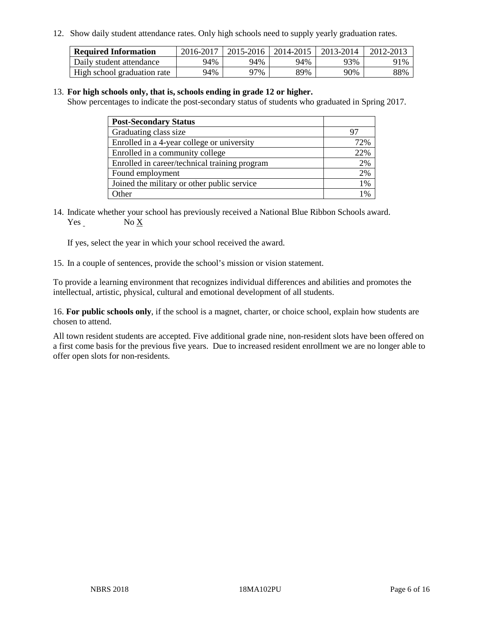12. Show daily student attendance rates. Only high schools need to supply yearly graduation rates.

| <b>Required Information</b> | 2016-2017 | $2015 - 2016$ | 2014-2015 | 2013-2014 | 2012-2013 |
|-----------------------------|-----------|---------------|-----------|-----------|-----------|
| Daily student attendance    | 94%       | 94%           | 94%       | 93%       | 91%       |
| High school graduation rate | 94%       | 97%           | 89%       | 90%       | 88%       |

#### 13. **For high schools only, that is, schools ending in grade 12 or higher.**

Show percentages to indicate the post-secondary status of students who graduated in Spring 2017.

| <b>Post-Secondary Status</b>                  |        |
|-----------------------------------------------|--------|
| Graduating class size                         |        |
| Enrolled in a 4-year college or university    | 72%    |
| Enrolled in a community college               | 22%    |
| Enrolled in career/technical training program | 2%     |
| Found employment                              | 2%     |
| Joined the military or other public service   | 1%     |
| Other                                         | $\sim$ |

14. Indicate whether your school has previously received a National Blue Ribbon Schools award. Yes No X

If yes, select the year in which your school received the award.

15. In a couple of sentences, provide the school's mission or vision statement.

To provide a learning environment that recognizes individual differences and abilities and promotes the intellectual, artistic, physical, cultural and emotional development of all students.

16. **For public schools only**, if the school is a magnet, charter, or choice school, explain how students are chosen to attend.

All town resident students are accepted. Five additional grade nine, non-resident slots have been offered on a first come basis for the previous five years. Due to increased resident enrollment we are no longer able to offer open slots for non-residents.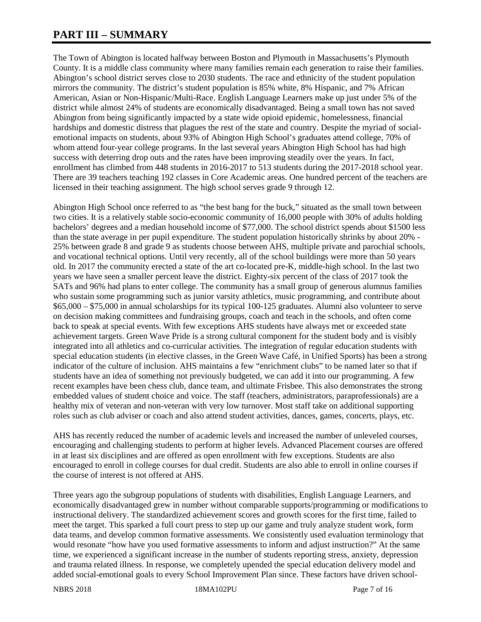# **PART III – SUMMARY**

The Town of Abington is located halfway between Boston and Plymouth in Massachusetts's Plymouth County. It is a middle class community where many families remain each generation to raise their families. Abington's school district serves close to 2030 students. The race and ethnicity of the student population mirrors the community. The district's student population is 85% white, 8% Hispanic, and 7% African American, Asian or Non-Hispanic/Multi-Race. English Language Learners make up just under 5% of the district while almost 24% of students are economically disadvantaged. Being a small town has not saved Abington from being significantly impacted by a state wide opioid epidemic, homelessness, financial hardships and domestic distress that plagues the rest of the state and country. Despite the myriad of socialemotional impacts on students, about 93% of Abington High School's graduates attend college, 70% of whom attend four-year college programs. In the last several years Abington High School has had high success with deterring drop outs and the rates have been improving steadily over the years. In fact, enrollment has climbed from 448 students in 2016-2017 to 513 students during the 2017-2018 school year. There are 39 teachers teaching 192 classes in Core Academic areas. One hundred percent of the teachers are licensed in their teaching assignment. The high school serves grade 9 through 12.

Abington High School once referred to as "the best bang for the buck," situated as the small town between two cities. It is a relatively stable socio-economic community of 16,000 people with 30% of adults holding bachelors' degrees and a median household income of \$77,000. The school district spends about \$1500 less than the state average in per pupil expenditure. The student population historically shrinks by about 20% - 25% between grade 8 and grade 9 as students choose between AHS, multiple private and parochial schools, and vocational technical options. Until very recently, all of the school buildings were more than 50 years old. In 2017 the community erected a state of the art co-located pre-K, middle-high school. In the last two years we have seen a smaller percent leave the district. Eighty-six percent of the class of 2017 took the SATs and 96% had plans to enter college. The community has a small group of generous alumnus families who sustain some programming such as junior varsity athletics, music programming, and contribute about \$65,000 – \$75,000 in annual scholarships for its typical 100-125 graduates. Alumni also volunteer to serve on decision making committees and fundraising groups, coach and teach in the schools, and often come back to speak at special events. With few exceptions AHS students have always met or exceeded state achievement targets. Green Wave Pride is a strong cultural component for the student body and is visibly integrated into all athletics and co-curricular activities. The integration of regular education students with special education students (in elective classes, in the Green Wave Café, in Unified Sports) has been a strong indicator of the culture of inclusion. AHS maintains a few "enrichment clubs" to be named later so that if students have an idea of something not previously budgeted, we can add it into our programming. A few recent examples have been chess club, dance team, and ultimate Frisbee. This also demonstrates the strong embedded values of student choice and voice. The staff (teachers, administrators, paraprofessionals) are a healthy mix of veteran and non-veteran with very low turnover. Most staff take on additional supporting roles such as club adviser or coach and also attend student activities, dances, games, concerts, plays, etc.

AHS has recently reduced the number of academic levels and increased the number of unleveled courses, encouraging and challenging students to perform at higher levels. Advanced Placement courses are offered in at least six disciplines and are offered as open enrollment with few exceptions. Students are also encouraged to enroll in college courses for dual credit. Students are also able to enroll in online courses if the course of interest is not offered at AHS.

Three years ago the subgroup populations of students with disabilities, English Language Learners, and economically disadvantaged grew in number without comparable supports/programming or modifications to instructional delivery. The standardized achievement scores and growth scores for the first time, failed to meet the target. This sparked a full court press to step up our game and truly analyze student work, form data teams, and develop common formative assessments. We consistently used evaluation terminology that would resonate "how have you used formative assessments to inform and adjust instruction?" At the same time, we experienced a significant increase in the number of students reporting stress, anxiety, depression and trauma related illness. In response, we completely upended the special education delivery model and added social-emotional goals to every School Improvement Plan since. These factors have driven school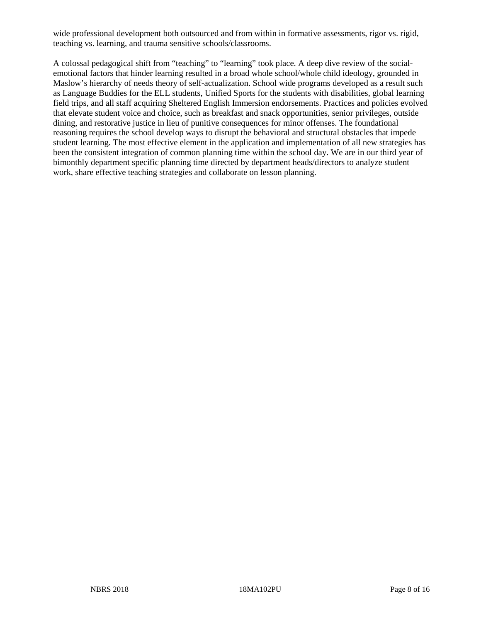wide professional development both outsourced and from within in formative assessments, rigor vs. rigid, teaching vs. learning, and trauma sensitive schools/classrooms.

A colossal pedagogical shift from "teaching" to "learning" took place. A deep dive review of the socialemotional factors that hinder learning resulted in a broad whole school/whole child ideology, grounded in Maslow's hierarchy of needs theory of self-actualization. School wide programs developed as a result such as Language Buddies for the ELL students, Unified Sports for the students with disabilities, global learning field trips, and all staff acquiring Sheltered English Immersion endorsements. Practices and policies evolved that elevate student voice and choice, such as breakfast and snack opportunities, senior privileges, outside dining, and restorative justice in lieu of punitive consequences for minor offenses. The foundational reasoning requires the school develop ways to disrupt the behavioral and structural obstacles that impede student learning. The most effective element in the application and implementation of all new strategies has been the consistent integration of common planning time within the school day. We are in our third year of bimonthly department specific planning time directed by department heads/directors to analyze student work, share effective teaching strategies and collaborate on lesson planning.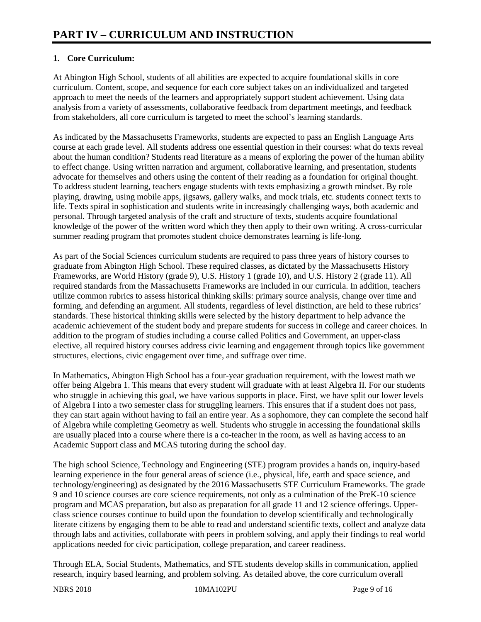# **1. Core Curriculum:**

At Abington High School, students of all abilities are expected to acquire foundational skills in core curriculum. Content, scope, and sequence for each core subject takes on an individualized and targeted approach to meet the needs of the learners and appropriately support student achievement. Using data analysis from a variety of assessments, collaborative feedback from department meetings, and feedback from stakeholders, all core curriculum is targeted to meet the school's learning standards.

As indicated by the Massachusetts Frameworks, students are expected to pass an English Language Arts course at each grade level. All students address one essential question in their courses: what do texts reveal about the human condition? Students read literature as a means of exploring the power of the human ability to effect change. Using written narration and argument, collaborative learning, and presentation, students advocate for themselves and others using the content of their reading as a foundation for original thought. To address student learning, teachers engage students with texts emphasizing a growth mindset. By role playing, drawing, using mobile apps, jigsaws, gallery walks, and mock trials, etc. students connect texts to life. Texts spiral in sophistication and students write in increasingly challenging ways, both academic and personal. Through targeted analysis of the craft and structure of texts, students acquire foundational knowledge of the power of the written word which they then apply to their own writing. A cross-curricular summer reading program that promotes student choice demonstrates learning is life-long.

As part of the Social Sciences curriculum students are required to pass three years of history courses to graduate from Abington High School. These required classes, as dictated by the Massachusetts History Frameworks, are World History (grade 9), U.S. History 1 (grade 10), and U.S. History 2 (grade 11). All required standards from the Massachusetts Frameworks are included in our curricula. In addition, teachers utilize common rubrics to assess historical thinking skills: primary source analysis, change over time and forming, and defending an argument. All students, regardless of level distinction, are held to these rubrics' standards. These historical thinking skills were selected by the history department to help advance the academic achievement of the student body and prepare students for success in college and career choices. In addition to the program of studies including a course called Politics and Government, an upper-class elective, all required history courses address civic learning and engagement through topics like government structures, elections, civic engagement over time, and suffrage over time.

In Mathematics, Abington High School has a four-year graduation requirement, with the lowest math we offer being Algebra 1. This means that every student will graduate with at least Algebra II. For our students who struggle in achieving this goal, we have various supports in place. First, we have split our lower levels of Algebra I into a two semester class for struggling learners. This ensures that if a student does not pass, they can start again without having to fail an entire year. As a sophomore, they can complete the second half of Algebra while completing Geometry as well. Students who struggle in accessing the foundational skills are usually placed into a course where there is a co-teacher in the room, as well as having access to an Academic Support class and MCAS tutoring during the school day.

The high school Science, Technology and Engineering (STE) program provides a hands on, inquiry-based learning experience in the four general areas of science (i.e., physical, life, earth and space science, and technology/engineering) as designated by the 2016 Massachusetts STE Curriculum Frameworks. The grade 9 and 10 science courses are core science requirements, not only as a culmination of the PreK-10 science program and MCAS preparation, but also as preparation for all grade 11 and 12 science offerings. Upperclass science courses continue to build upon the foundation to develop scientifically and technologically literate citizens by engaging them to be able to read and understand scientific texts, collect and analyze data through labs and activities, collaborate with peers in problem solving, and apply their findings to real world applications needed for civic participation, college preparation, and career readiness.

Through ELA, Social Students, Mathematics, and STE students develop skills in communication, applied research, inquiry based learning, and problem solving. As detailed above, the core curriculum overall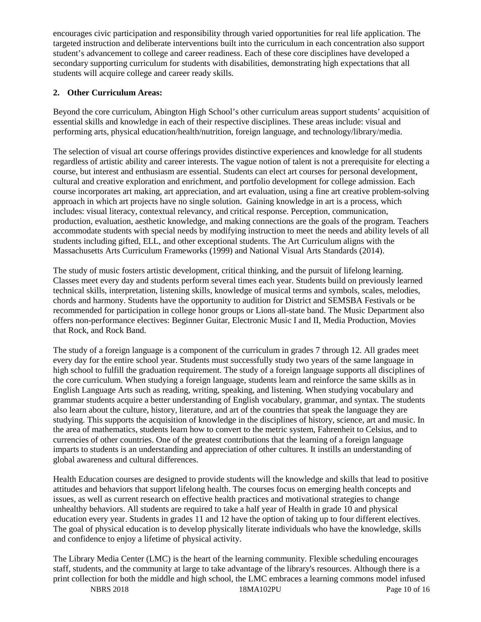encourages civic participation and responsibility through varied opportunities for real life application. The targeted instruction and deliberate interventions built into the curriculum in each concentration also support student's advancement to college and career readiness. Each of these core disciplines have developed a secondary supporting curriculum for students with disabilities, demonstrating high expectations that all students will acquire college and career ready skills.

# **2. Other Curriculum Areas:**

Beyond the core curriculum, Abington High School's other curriculum areas support students' acquisition of essential skills and knowledge in each of their respective disciplines. These areas include: visual and performing arts, physical education/health/nutrition, foreign language, and technology/library/media.

The selection of visual art course offerings provides distinctive experiences and knowledge for all students regardless of artistic ability and career interests. The vague notion of talent is not a prerequisite for electing a course, but interest and enthusiasm are essential. Students can elect art courses for personal development, cultural and creative exploration and enrichment, and portfolio development for college admission. Each course incorporates art making, art appreciation, and art evaluation, using a fine art creative problem-solving approach in which art projects have no single solution. Gaining knowledge in art is a process, which includes: visual literacy, contextual relevancy, and critical response. Perception, communication, production, evaluation, aesthetic knowledge, and making connections are the goals of the program. Teachers accommodate students with special needs by modifying instruction to meet the needs and ability levels of all students including gifted, ELL, and other exceptional students. The Art Curriculum aligns with the Massachusetts Arts Curriculum Frameworks (1999) and National Visual Arts Standards (2014).

The study of music fosters artistic development, critical thinking, and the pursuit of lifelong learning. Classes meet every day and students perform several times each year. Students build on previously learned technical skills, interpretation, listening skills, knowledge of musical terms and symbols, scales, melodies, chords and harmony. Students have the opportunity to audition for District and SEMSBA Festivals or be recommended for participation in college honor groups or Lions all-state band. The Music Department also offers non-performance electives: Beginner Guitar, Electronic Music I and II, Media Production, Movies that Rock, and Rock Band.

The study of a foreign language is a component of the curriculum in grades 7 through 12. All grades meet every day for the entire school year. Students must successfully study two years of the same language in high school to fulfill the graduation requirement. The study of a foreign language supports all disciplines of the core curriculum. When studying a foreign language, students learn and reinforce the same skills as in English Language Arts such as reading, writing, speaking, and listening. When studying vocabulary and grammar students acquire a better understanding of English vocabulary, grammar, and syntax. The students also learn about the culture, history, literature, and art of the countries that speak the language they are studying. This supports the acquisition of knowledge in the disciplines of history, science, art and music. In the area of mathematics, students learn how to convert to the metric system, Fahrenheit to Celsius, and to currencies of other countries. One of the greatest contributions that the learning of a foreign language imparts to students is an understanding and appreciation of other cultures. It instills an understanding of global awareness and cultural differences.

Health Education courses are designed to provide students will the knowledge and skills that lead to positive attitudes and behaviors that support lifelong health. The courses focus on emerging health concepts and issues, as well as current research on effective health practices and motivational strategies to change unhealthy behaviors. All students are required to take a half year of Health in grade 10 and physical education every year. Students in grades 11 and 12 have the option of taking up to four different electives. The goal of physical education is to develop physically literate individuals who have the knowledge, skills and confidence to enjoy a lifetime of physical activity.

The Library Media Center (LMC) is the heart of the learning community. Flexible scheduling encourages staff, students, and the community at large to take advantage of the library's resources. Although there is a print collection for both the middle and high school, the LMC embraces a learning commons model infused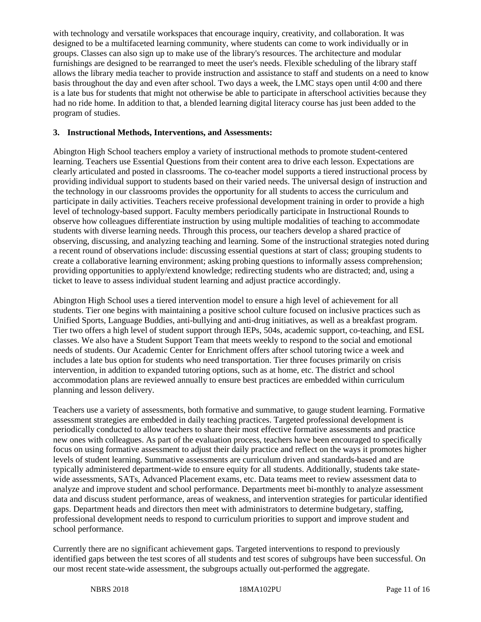with technology and versatile workspaces that encourage inquiry, creativity, and collaboration. It was designed to be a multifaceted learning community, where students can come to work individually or in groups. Classes can also sign up to make use of the library's resources. The architecture and modular furnishings are designed to be rearranged to meet the user's needs. Flexible scheduling of the library staff allows the library media teacher to provide instruction and assistance to staff and students on a need to know basis throughout the day and even after school. Two days a week, the LMC stays open until 4:00 and there is a late bus for students that might not otherwise be able to participate in afterschool activities because they had no ride home. In addition to that, a blended learning digital literacy course has just been added to the program of studies.

#### **3. Instructional Methods, Interventions, and Assessments:**

Abington High School teachers employ a variety of instructional methods to promote student-centered learning. Teachers use Essential Questions from their content area to drive each lesson. Expectations are clearly articulated and posted in classrooms. The co-teacher model supports a tiered instructional process by providing individual support to students based on their varied needs. The universal design of instruction and the technology in our classrooms provides the opportunity for all students to access the curriculum and participate in daily activities. Teachers receive professional development training in order to provide a high level of technology-based support. Faculty members periodically participate in Instructional Rounds to observe how colleagues differentiate instruction by using multiple modalities of teaching to accommodate students with diverse learning needs. Through this process, our teachers develop a shared practice of observing, discussing, and analyzing teaching and learning. Some of the instructional strategies noted during a recent round of observations include: discussing essential questions at start of class; grouping students to create a collaborative learning environment; asking probing questions to informally assess comprehension; providing opportunities to apply/extend knowledge; redirecting students who are distracted; and, using a ticket to leave to assess individual student learning and adjust practice accordingly.

Abington High School uses a tiered intervention model to ensure a high level of achievement for all students. Tier one begins with maintaining a positive school culture focused on inclusive practices such as Unified Sports, Language Buddies, anti-bullying and anti-drug initiatives, as well as a breakfast program. Tier two offers a high level of student support through IEPs, 504s, academic support, co-teaching, and ESL classes. We also have a Student Support Team that meets weekly to respond to the social and emotional needs of students. Our Academic Center for Enrichment offers after school tutoring twice a week and includes a late bus option for students who need transportation. Tier three focuses primarily on crisis intervention, in addition to expanded tutoring options, such as at home, etc. The district and school accommodation plans are reviewed annually to ensure best practices are embedded within curriculum planning and lesson delivery.

Teachers use a variety of assessments, both formative and summative, to gauge student learning. Formative assessment strategies are embedded in daily teaching practices. Targeted professional development is periodically conducted to allow teachers to share their most effective formative assessments and practice new ones with colleagues. As part of the evaluation process, teachers have been encouraged to specifically focus on using formative assessment to adjust their daily practice and reflect on the ways it promotes higher levels of student learning. Summative assessments are curriculum driven and standards-based and are typically administered department-wide to ensure equity for all students. Additionally, students take statewide assessments, SATs, Advanced Placement exams, etc. Data teams meet to review assessment data to analyze and improve student and school performance. Departments meet bi-monthly to analyze assessment data and discuss student performance, areas of weakness, and intervention strategies for particular identified gaps. Department heads and directors then meet with administrators to determine budgetary, staffing, professional development needs to respond to curriculum priorities to support and improve student and school performance.

Currently there are no significant achievement gaps. Targeted interventions to respond to previously identified gaps between the test scores of all students and test scores of subgroups have been successful. On our most recent state-wide assessment, the subgroups actually out-performed the aggregate.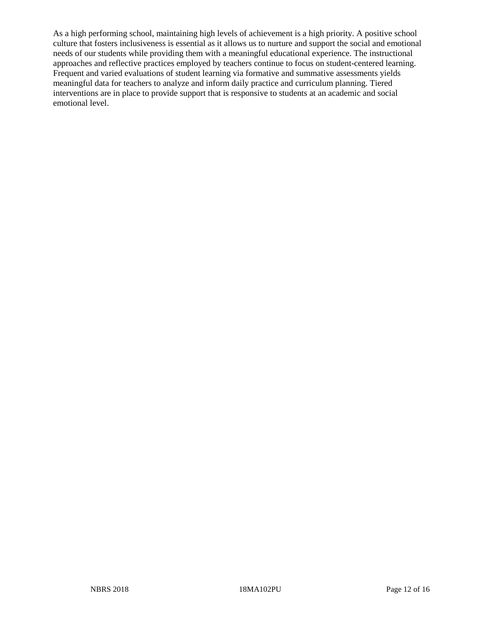As a high performing school, maintaining high levels of achievement is a high priority. A positive school culture that fosters inclusiveness is essential as it allows us to nurture and support the social and emotional needs of our students while providing them with a meaningful educational experience. The instructional approaches and reflective practices employed by teachers continue to focus on student-centered learning. Frequent and varied evaluations of student learning via formative and summative assessments yields meaningful data for teachers to analyze and inform daily practice and curriculum planning. Tiered interventions are in place to provide support that is responsive to students at an academic and social emotional level.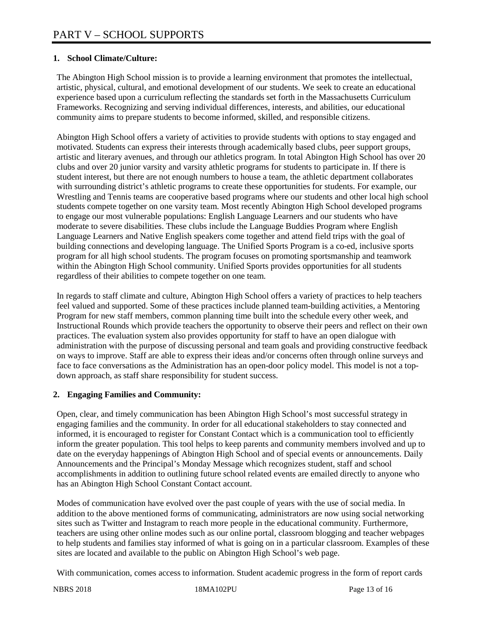# **1. School Climate/Culture:**

The Abington High School mission is to provide a learning environment that promotes the intellectual, artistic, physical, cultural, and emotional development of our students. We seek to create an educational experience based upon a curriculum reflecting the standards set forth in the Massachusetts Curriculum Frameworks. Recognizing and serving individual differences, interests, and abilities, our educational community aims to prepare students to become informed, skilled, and responsible citizens.

Abington High School offers a variety of activities to provide students with options to stay engaged and motivated. Students can express their interests through academically based clubs, peer support groups, artistic and literary avenues, and through our athletics program. In total Abington High School has over 20 clubs and over 20 junior varsity and varsity athletic programs for students to participate in. If there is student interest, but there are not enough numbers to house a team, the athletic department collaborates with surrounding district's athletic programs to create these opportunities for students. For example, our Wrestling and Tennis teams are cooperative based programs where our students and other local high school students compete together on one varsity team. Most recently Abington High School developed programs to engage our most vulnerable populations: English Language Learners and our students who have moderate to severe disabilities. These clubs include the Language Buddies Program where English Language Learners and Native English speakers come together and attend field trips with the goal of building connections and developing language. The Unified Sports Program is a co-ed, inclusive sports program for all high school students. The program focuses on promoting sportsmanship and teamwork within the Abington High School community. Unified Sports provides opportunities for all students regardless of their abilities to compete together on one team.

In regards to staff climate and culture, Abington High School offers a variety of practices to help teachers feel valued and supported. Some of these practices include planned team-building activities, a Mentoring Program for new staff members, common planning time built into the schedule every other week, and Instructional Rounds which provide teachers the opportunity to observe their peers and reflect on their own practices. The evaluation system also provides opportunity for staff to have an open dialogue with administration with the purpose of discussing personal and team goals and providing constructive feedback on ways to improve. Staff are able to express their ideas and/or concerns often through online surveys and face to face conversations as the Administration has an open-door policy model. This model is not a topdown approach, as staff share responsibility for student success.

# **2. Engaging Families and Community:**

Open, clear, and timely communication has been Abington High School's most successful strategy in engaging families and the community. In order for all educational stakeholders to stay connected and informed, it is encouraged to register for Constant Contact which is a communication tool to efficiently inform the greater population. This tool helps to keep parents and community members involved and up to date on the everyday happenings of Abington High School and of special events or announcements. Daily Announcements and the Principal's Monday Message which recognizes student, staff and school accomplishments in addition to outlining future school related events are emailed directly to anyone who has an Abington High School Constant Contact account.

Modes of communication have evolved over the past couple of years with the use of social media. In addition to the above mentioned forms of communicating, administrators are now using social networking sites such as Twitter and Instagram to reach more people in the educational community. Furthermore, teachers are using other online modes such as our online portal, classroom blogging and teacher webpages to help students and families stay informed of what is going on in a particular classroom. Examples of these sites are located and available to the public on Abington High School's web page.

With communication, comes access to information. Student academic progress in the form of report cards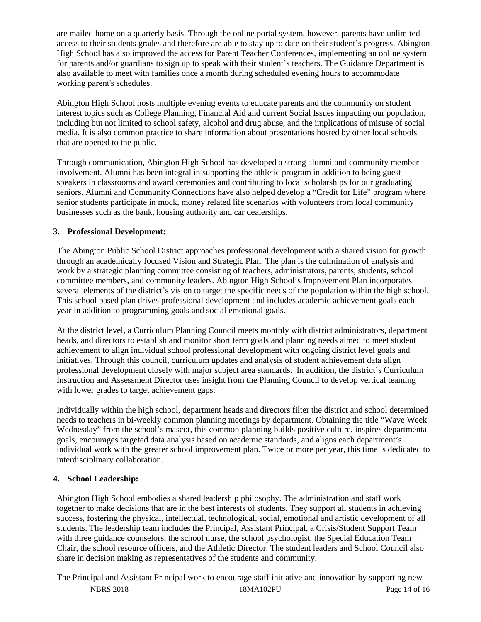are mailed home on a quarterly basis. Through the online portal system, however, parents have unlimited access to their students grades and therefore are able to stay up to date on their student's progress. Abington High School has also improved the access for Parent Teacher Conferences, implementing an online system for parents and/or guardians to sign up to speak with their student's teachers. The Guidance Department is also available to meet with families once a month during scheduled evening hours to accommodate working parent's schedules.

Abington High School hosts multiple evening events to educate parents and the community on student interest topics such as College Planning, Financial Aid and current Social Issues impacting our population, including but not limited to school safety, alcohol and drug abuse, and the implications of misuse of social media. It is also common practice to share information about presentations hosted by other local schools that are opened to the public.

Through communication, Abington High School has developed a strong alumni and community member involvement. Alumni has been integral in supporting the athletic program in addition to being guest speakers in classrooms and award ceremonies and contributing to local scholarships for our graduating seniors. Alumni and Community Connections have also helped develop a "Credit for Life" program where senior students participate in mock, money related life scenarios with volunteers from local community businesses such as the bank, housing authority and car dealerships.

# **3. Professional Development:**

The Abington Public School District approaches professional development with a shared vision for growth through an academically focused Vision and Strategic Plan. The plan is the culmination of analysis and work by a strategic planning committee consisting of teachers, administrators, parents, students, school committee members, and community leaders. Abington High School's Improvement Plan incorporates several elements of the district's vision to target the specific needs of the population within the high school. This school based plan drives professional development and includes academic achievement goals each year in addition to programming goals and social emotional goals.

At the district level, a Curriculum Planning Council meets monthly with district administrators, department heads, and directors to establish and monitor short term goals and planning needs aimed to meet student achievement to align individual school professional development with ongoing district level goals and initiatives. Through this council, curriculum updates and analysis of student achievement data align professional development closely with major subject area standards. In addition, the district's Curriculum Instruction and Assessment Director uses insight from the Planning Council to develop vertical teaming with lower grades to target achievement gaps.

Individually within the high school, department heads and directors filter the district and school determined needs to teachers in bi-weekly common planning meetings by department. Obtaining the title "Wave Week Wednesday" from the school's mascot, this common planning builds positive culture, inspires departmental goals, encourages targeted data analysis based on academic standards, and aligns each department's individual work with the greater school improvement plan. Twice or more per year, this time is dedicated to interdisciplinary collaboration.

# **4. School Leadership:**

Abington High School embodies a shared leadership philosophy. The administration and staff work together to make decisions that are in the best interests of students. They support all students in achieving success, fostering the physical, intellectual, technological, social, emotional and artistic development of all students. The leadership team includes the Principal, Assistant Principal, a Crisis/Student Support Team with three guidance counselors, the school nurse, the school psychologist, the Special Education Team Chair, the school resource officers, and the Athletic Director. The student leaders and School Council also share in decision making as representatives of the students and community.

NBRS 2018 18MA102PU Page 14 of 16 The Principal and Assistant Principal work to encourage staff initiative and innovation by supporting new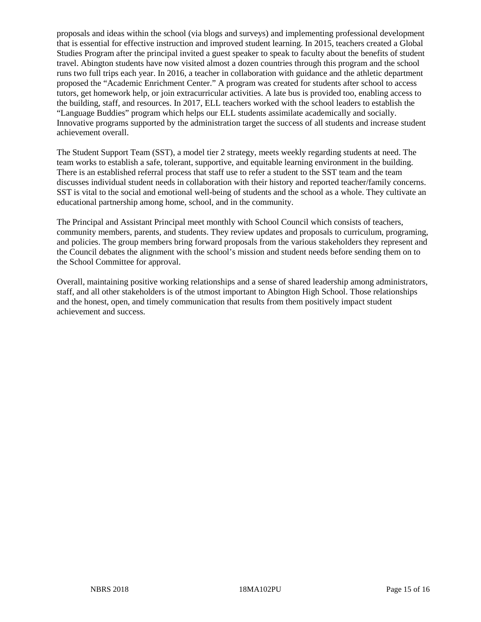proposals and ideas within the school (via blogs and surveys) and implementing professional development that is essential for effective instruction and improved student learning. In 2015, teachers created a Global Studies Program after the principal invited a guest speaker to speak to faculty about the benefits of student travel. Abington students have now visited almost a dozen countries through this program and the school runs two full trips each year. In 2016, a teacher in collaboration with guidance and the athletic department proposed the "Academic Enrichment Center." A program was created for students after school to access tutors, get homework help, or join extracurricular activities. A late bus is provided too, enabling access to the building, staff, and resources. In 2017, ELL teachers worked with the school leaders to establish the "Language Buddies" program which helps our ELL students assimilate academically and socially. Innovative programs supported by the administration target the success of all students and increase student achievement overall.

The Student Support Team (SST), a model tier 2 strategy, meets weekly regarding students at need. The team works to establish a safe, tolerant, supportive, and equitable learning environment in the building. There is an established referral process that staff use to refer a student to the SST team and the team discusses individual student needs in collaboration with their history and reported teacher/family concerns. SST is vital to the social and emotional well-being of students and the school as a whole. They cultivate an educational partnership among home, school, and in the community.

The Principal and Assistant Principal meet monthly with School Council which consists of teachers, community members, parents, and students. They review updates and proposals to curriculum, programing, and policies. The group members bring forward proposals from the various stakeholders they represent and the Council debates the alignment with the school's mission and student needs before sending them on to the School Committee for approval.

Overall, maintaining positive working relationships and a sense of shared leadership among administrators, staff, and all other stakeholders is of the utmost important to Abington High School. Those relationships and the honest, open, and timely communication that results from them positively impact student achievement and success.